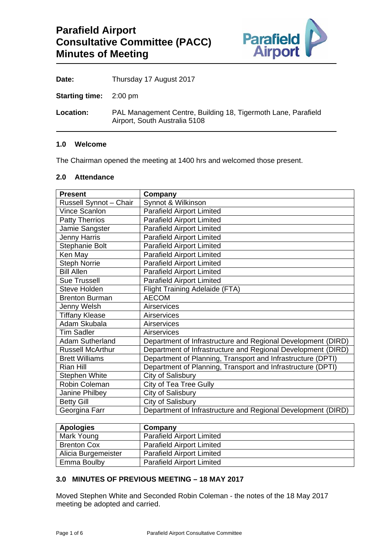

Date: Thursday 17 August 2017

**Starting time:** 2:00 pm

**Location:** PAL Management Centre, Building 18, Tigermoth Lane, Parafield Airport, South Australia 5108

#### **1.0 Welcome**

The Chairman opened the meeting at 1400 hrs and welcomed those present.

# **2.0 Attendance**

| <b>Present</b>          | Company                                                      |
|-------------------------|--------------------------------------------------------------|
| Russell Synnot - Chair  | Synnot & Wilkinson                                           |
| Vince Scanlon           | <b>Parafield Airport Limited</b>                             |
| <b>Patty Therrios</b>   | <b>Parafield Airport Limited</b>                             |
| Jamie Sangster          | <b>Parafield Airport Limited</b>                             |
| <b>Jenny Harris</b>     | <b>Parafield Airport Limited</b>                             |
| Stephanie Bolt          | <b>Parafield Airport Limited</b>                             |
| Ken May                 | <b>Parafield Airport Limited</b>                             |
| <b>Steph Norrie</b>     | <b>Parafield Airport Limited</b>                             |
| <b>Bill Allen</b>       | <b>Parafield Airport Limited</b>                             |
| <b>Sue Trussell</b>     | <b>Parafield Airport Limited</b>                             |
| <b>Steve Holden</b>     | Flight Training Adelaide (FTA)                               |
| <b>Brenton Burman</b>   | <b>AECOM</b>                                                 |
| Jenny Welsh             | Airservices                                                  |
| <b>Tiffany Klease</b>   | Airservices                                                  |
| Adam Skubala            | Airservices                                                  |
| <b>Tim Sadler</b>       | Airservices                                                  |
| <b>Adam Sutherland</b>  | Department of Infrastructure and Regional Development (DIRD) |
| <b>Russell McArthur</b> | Department of Infrastructure and Regional Development (DIRD) |
| <b>Brett Williams</b>   | Department of Planning, Transport and Infrastructure (DPTI)  |
| Rian Hill               | Department of Planning, Transport and Infrastructure (DPTI)  |
| Stephen White           | City of Salisbury                                            |
| Robin Coleman           | City of Tea Tree Gully                                       |
| Janine Philbey          | City of Salisbury                                            |
| <b>Betty Gill</b>       | City of Salisbury                                            |
| Georgina Farr           | Department of Infrastructure and Regional Development (DIRD) |

| <b>Apologies</b>    | Company                          |
|---------------------|----------------------------------|
| Mark Young          | <b>Parafield Airport Limited</b> |
| <b>Brenton Cox</b>  | <b>Parafield Airport Limited</b> |
| Alicia Burgemeister | <b>Parafield Airport Limited</b> |
| Emma Boulby         | <b>Parafield Airport Limited</b> |

# **3.0 MINUTES OF PREVIOUS MEETING – 18 MAY 2017**

Moved Stephen White and Seconded Robin Coleman - the notes of the 18 May 2017 meeting be adopted and carried.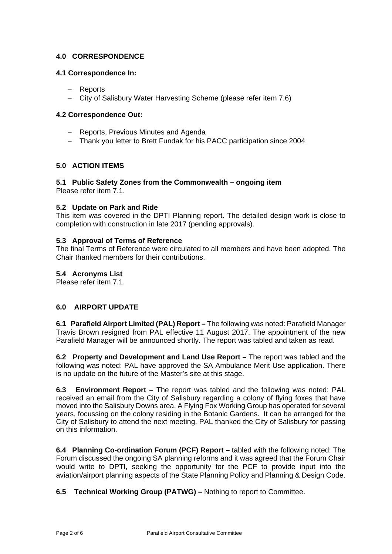# **4.0 CORRESPONDENCE**

#### **4.1 Correspondence In:**

- Reports
- City of Salisbury Water Harvesting Scheme (please refer item 7.6)

#### **4.2 Correspondence Out:**

- Reports, Previous Minutes and Agenda
- Thank you letter to Brett Fundak for his PACC participation since 2004

# **5.0 ACTION ITEMS**

# **5.1 Public Safety Zones from the Commonwealth – ongoing item**

Please refer item 7.1.

#### **5.2 Update on Park and Ride**

This item was covered in the DPTI Planning report. The detailed design work is close to completion with construction in late 2017 (pending approvals).

#### **5.3 Approval of Terms of Reference**

The final Terms of Reference were circulated to all members and have been adopted. The Chair thanked members for their contributions.

#### **5.4 Acronyms List**

Please refer item 7.1.

# **6.0 AIRPORT UPDATE**

**6.1 Parafield Airport Limited (PAL) Report –** The following was noted: Parafield Manager Travis Brown resigned from PAL effective 11 August 2017. The appointment of the new Parafield Manager will be announced shortly. The report was tabled and taken as read.

**6.2 Property and Development and Land Use Report –** The report was tabled and the following was noted: PAL have approved the SA Ambulance Merit Use application. There is no update on the future of the Master's site at this stage.

**6.3 Environment Report –** The report was tabled and the following was noted: PAL received an email from the City of Salisbury regarding a colony of flying foxes that have moved into the Salisbury Downs area. A Flying Fox Working Group has operated for several years, focussing on the colony residing in the Botanic Gardens. It can be arranged for the City of Salisbury to attend the next meeting. PAL thanked the City of Salisbury for passing on this information.

**6.4 Planning Co-ordination Forum (PCF) Report –** tabled with the following noted: The Forum discussed the ongoing SA planning reforms and it was agreed that the Forum Chair would write to DPTI, seeking the opportunity for the PCF to provide input into the aviation/airport planning aspects of the State Planning Policy and Planning & Design Code.

**6.5 Technical Working Group (PATWG) –** Nothing to report to Committee.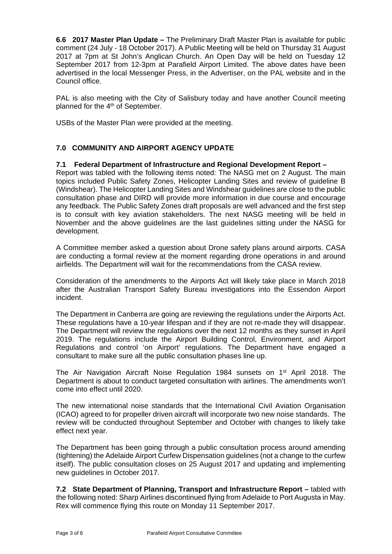**6.6 2017 Master Plan Update –** The Preliminary Draft Master Plan is available for public comment (24 July - 18 October 2017). A Public Meeting will be held on Thursday 31 August 2017 at 7pm at St John's Anglican Church. An Open Day will be held on Tuesday 12 September 2017 from 12-3pm at Parafield Airport Limited. The above dates have been advertised in the local Messenger Press, in the Advertiser, on the PAL website and in the Council office.

PAL is also meeting with the City of Salisbury today and have another Council meeting planned for the 4<sup>th</sup> of September.

USBs of the Master Plan were provided at the meeting.

# **7.0 COMMUNITY AND AIRPORT AGENCY UPDATE**

# **7.1 Federal Department of Infrastructure and Regional Development Report –**

Report was tabled with the following items noted: The NASG met on 2 August. The main topics included Public Safety Zones, Helicopter Landing Sites and review of guideline B (Windshear). The Helicopter Landing Sites and Windshear guidelines are close to the public consultation phase and DIRD will provide more information in due course and encourage any feedback. The Public Safety Zones draft proposals are well advanced and the first step is to consult with key aviation stakeholders. The next NASG meeting will be held in November and the above guidelines are the last guidelines sitting under the NASG for development.

A Committee member asked a question about Drone safety plans around airports. CASA are conducting a formal review at the moment regarding drone operations in and around airfields. The Department will wait for the recommendations from the CASA review.

Consideration of the amendments to the Airports Act will likely take place in March 2018 after the Australian Transport Safety Bureau investigations into the Essendon Airport incident.

The Department in Canberra are going are reviewing the regulations under the Airports Act. These regulations have a 10-year lifespan and if they are not re-made they will disappear. The Department will review the regulations over the next 12 months as they sunset in April 2019. The regulations include the Airport Building Control, Environment, and Airport Regulations and control 'on Airport' regulations. The Department have engaged a consultant to make sure all the public consultation phases line up.

The Air Navigation Aircraft Noise Regulation 1984 sunsets on 1st April 2018. The Department is about to conduct targeted consultation with airlines. The amendments won't come into effect until 2020.

The new international noise standards that the International Civil Aviation Organisation (ICAO) agreed to for propeller driven aircraft will incorporate two new noise standards. The review will be conducted throughout September and October with changes to likely take effect next year.

The Department has been going through a public consultation process around amending (tightening) the Adelaide Airport Curfew Dispensation guidelines (not a change to the curfew itself). The public consultation closes on 25 August 2017 and updating and implementing new guidelines in October 2017.

**7.2 State Department of Planning, Transport and Infrastructure Report –** tabled with the following noted: Sharp Airlines discontinued flying from Adelaide to Port Augusta in May. Rex will commence flying this route on Monday 11 September 2017.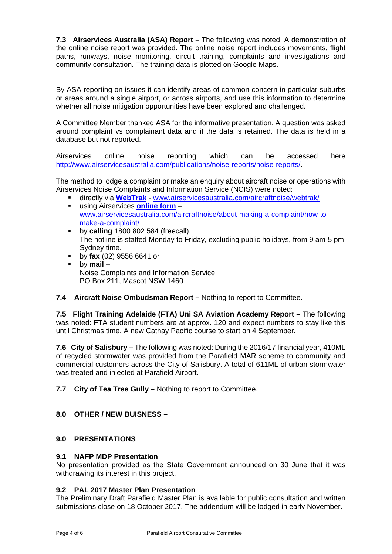**7.3 Airservices Australia (ASA) Report –** The following was noted: A demonstration of the online noise report was provided. The online noise report includes movements, flight paths, runways, noise monitoring, circuit training, complaints and investigations and community consultation. The training data is plotted on Google Maps.

By ASA reporting on issues it can identify areas of common concern in particular suburbs or areas around a single airport, or across airports, and use this information to determine whether all noise mitigation opportunities have been explored and challenged.

A Committee Member thanked ASA for the informative presentation. A question was asked around complaint vs complainant data and if the data is retained. The data is held in a database but not reported.

Airservices online noise reporting which can be accessed here http://www.airservicesaustralia.com/publications/noise-reports/noise-reports/

The method to lodge a complaint or make an enquiry about aircraft noise or operations with Airservices Noise Complaints and Information Service (NCIS) were noted:

- directly via **WebTrak** www.airservicesaustralia.com/aircraftnoise/webtrak/
- using Airservices **online form** www.airservicesaustralia.com/aircraftnoise/about-making-a-complaint/how-tomake-a-complaint/
- **by calling** 1800 802 584 (freecall). The hotline is staffed Monday to Friday, excluding public holidays, from 9 am-5 pm Sydney time.
- by **fax** (02) 9556 6641 or
- by **mail** Noise Complaints and Information Service PO Box 211, Mascot NSW 1460

# **7.4 Aircraft Noise Ombudsman Report –** Nothing to report to Committee.

**7.5 Flight Training Adelaide (FTA) Uni SA Aviation Academy Report –** The following was noted: FTA student numbers are at approx. 120 and expect numbers to stay like this until Christmas time. A new Cathay Pacific course to start on 4 September.

**7.6 City of Salisbury –** The following was noted: During the 2016/17 financial year, 410ML of recycled stormwater was provided from the Parafield MAR scheme to community and commercial customers across the City of Salisbury. A total of 611ML of urban stormwater was treated and injected at Parafield Airport.

**7.7 City of Tea Tree Gully –** Nothing to report to Committee.

# **8.0 OTHER / NEW BUISNESS –**

# **9.0 PRESENTATIONS**

# **9.1 NAFP MDP Presentation**

No presentation provided as the State Government announced on 30 June that it was withdrawing its interest in this project.

# **9.2 PAL 2017 Master Plan Presentation**

The Preliminary Draft Parafield Master Plan is available for public consultation and written submissions close on 18 October 2017. The addendum will be lodged in early November.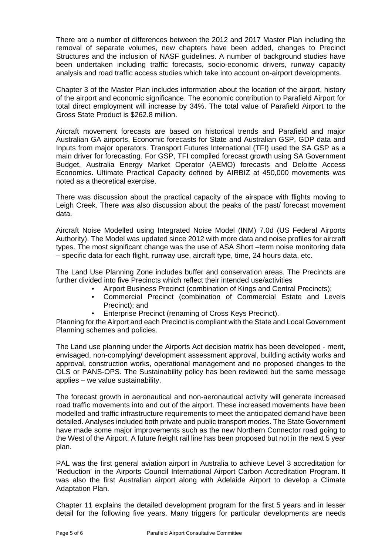There are a number of differences between the 2012 and 2017 Master Plan including the removal of separate volumes, new chapters have been added, changes to Precinct Structures and the inclusion of NASF guidelines. A number of background studies have been undertaken including traffic forecasts, socio-economic drivers, runway capacity analysis and road traffic access studies which take into account on-airport developments.

Chapter 3 of the Master Plan includes information about the location of the airport, history of the airport and economic significance. The economic contribution to Parafield Airport for total direct employment will increase by 34%. The total value of Parafield Airport to the Gross State Product is \$262.8 million.

Aircraft movement forecasts are based on historical trends and Parafield and major Australian GA airports, Economic forecasts for State and Australian GSP, GDP data and Inputs from major operators. Transport Futures International (TFI) used the SA GSP as a main driver for forecasting. For GSP, TFI compiled forecast growth using SA Government Budget, Australia Energy Market Operator (AEMO) forecasts and Deloitte Access Economics. Ultimate Practical Capacity defined by AIRBIZ at 450,000 movements was noted as a theoretical exercise.

There was discussion about the practical capacity of the airspace with flights moving to Leigh Creek. There was also discussion about the peaks of the past/ forecast movement data.

Aircraft Noise Modelled using Integrated Noise Model (INM) 7.0d (US Federal Airports Authority). The Model was updated since 2012 with more data and noise profiles for aircraft types. The most significant change was the use of ASA Short –term noise monitoring data – specific data for each flight, runway use, aircraft type, time, 24 hours data, etc.

The Land Use Planning Zone includes buffer and conservation areas. The Precincts are further divided into five Precincts which reflect their intended use/activities

- Airport Business Precinct (combination of Kings and Central Precincts);
- Commercial Precinct (combination of Commercial Estate and Levels Precinct); and
- Enterprise Precinct (renaming of Cross Keys Precinct).

Planning for the Airport and each Precinct is compliant with the State and Local Government Planning schemes and policies.

The Land use planning under the Airports Act decision matrix has been developed - merit, envisaged, non-complying/ development assessment approval, building activity works and approval, construction works, operational management and no proposed changes to the OLS or PANS-OPS. The Sustainability policy has been reviewed but the same message applies – we value sustainability.

The forecast growth in aeronautical and non-aeronautical activity will generate increased road traffic movements into and out of the airport. These increased movements have been modelled and traffic infrastructure requirements to meet the anticipated demand have been detailed. Analyses included both private and public transport modes. The State Government have made some major improvements such as the new Northern Connector road going to the West of the Airport. A future freight rail line has been proposed but not in the next 5 year plan.

PAL was the first general aviation airport in Australia to achieve Level 3 accreditation for 'Reduction' in the Airports Council International Airport Carbon Accreditation Program. It was also the first Australian airport along with Adelaide Airport to develop a Climate Adaptation Plan.

Chapter 11 explains the detailed development program for the first 5 years and in lesser detail for the following five years. Many triggers for particular developments are needs